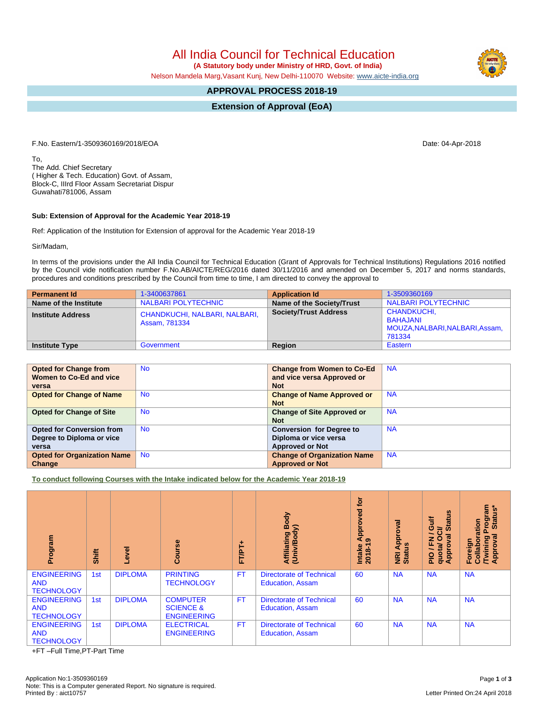All India Council for Technical Education

 **(A Statutory body under Ministry of HRD, Govt. of India)**

Nelson Mandela Marg,Vasant Kunj, New Delhi-110070 Website: [www.aicte-india.org](http://www.aicte-india.org)

## **APPROVAL PROCESS 2018-19**

**Extension of Approval (EoA)**

F.No. Eastern/1-3509360169/2018/EOA Date: 04-Apr-2018

To, The Add. Chief Secretary ( Higher & Tech. Education) Govt. of Assam, Block-C, IIIrd Floor Assam Secretariat Dispur Guwahati781006, Assam

## **Sub: Extension of Approval for the Academic Year 2018-19**

Ref: Application of the Institution for Extension of approval for the Academic Year 2018-19

Sir/Madam,

In terms of the provisions under the All India Council for Technical Education (Grant of Approvals for Technical Institutions) Regulations 2016 notified by the Council vide notification number F.No.AB/AICTE/REG/2016 dated 30/11/2016 and amended on December 5, 2017 and norms standards, procedures and conditions prescribed by the Council from time to time, I am directed to convey the approval to

| <b>Permanent Id</b>      | 1-3400637861                                   | <b>Application Id</b>        | 1-3509360169                                                                |
|--------------------------|------------------------------------------------|------------------------------|-----------------------------------------------------------------------------|
| Name of the Institute    | <b>NALBARI POLYTECHNIC</b>                     | Name of the Society/Trust    | NALBARI POLYTECHNIC                                                         |
| <b>Institute Address</b> | CHANDKUCHI, NALBARI, NALBARI,<br>Assam, 781334 | <b>Society/Trust Address</b> | <b>CHANDKUCHI,</b><br>BAHAJANI<br>MOUZA, NALBARI, NALBARI, Assam,<br>781334 |
| <b>Institute Type</b>    | Government                                     | Region                       | Eastern                                                                     |

| <b>Opted for Change from</b>       | <b>No</b> | <b>Change from Women to Co-Ed</b>  | <b>NA</b> |
|------------------------------------|-----------|------------------------------------|-----------|
| Women to Co-Ed and vice            |           | and vice versa Approved or         |           |
| versa                              |           | <b>Not</b>                         |           |
| <b>Opted for Change of Name</b>    | <b>No</b> | <b>Change of Name Approved or</b>  | <b>NA</b> |
|                                    |           | <b>Not</b>                         |           |
| <b>Opted for Change of Site</b>    | <b>No</b> | <b>Change of Site Approved or</b>  | <b>NA</b> |
|                                    |           | <b>Not</b>                         |           |
| <b>Opted for Conversion from</b>   | <b>No</b> | <b>Conversion for Degree to</b>    | <b>NA</b> |
| Degree to Diploma or vice          |           | Diploma or vice versa              |           |
| versa                              |           | <b>Approved or Not</b>             |           |
| <b>Opted for Organization Name</b> | <b>No</b> | <b>Change of Organization Name</b> | <b>NA</b> |
| Change                             |           | <b>Approved or Not</b>             |           |

**To conduct following Courses with the Intake indicated below for the Academic Year 2018-19**

| Program                                               | Shift | evel           | Course                                                        | FT/PT+    | Body<br>Affiliating Book<br>(Univ/Body)                    | <b>jo</b><br>ិទី<br>Appro<br>Intake<br>2018-1 | ಹ<br>ō<br>Appr<br><b>NRI Ap<br/>Status</b> | Ξ<br><b>Gulf</b><br>Star<br>≃<br>∽<br>ത<br>z<br>ш.<br><b>oldd</b><br>quota/<br><b>PIO</b><br>⋖ | Program<br>Status*<br>ration<br>o<br>۰<br>Foreign<br>Twining<br>Appro<br>$\overline{5}$ |
|-------------------------------------------------------|-------|----------------|---------------------------------------------------------------|-----------|------------------------------------------------------------|-----------------------------------------------|--------------------------------------------|------------------------------------------------------------------------------------------------|-----------------------------------------------------------------------------------------|
| <b>ENGINEERING</b><br><b>AND</b><br><b>TECHNOLOGY</b> | 1st   | <b>DIPLOMA</b> | <b>PRINTING</b><br><b>TECHNOLOGY</b>                          | <b>FT</b> | <b>Directorate of Technical</b><br><b>Education, Assam</b> | 60                                            | <b>NA</b>                                  | <b>NA</b>                                                                                      | <b>NA</b>                                                                               |
| <b>ENGINEERING</b><br><b>AND</b><br><b>TECHNOLOGY</b> | 1st   | <b>DIPLOMA</b> | <b>COMPUTER</b><br><b>SCIENCE &amp;</b><br><b>ENGINEERING</b> | <b>FT</b> | <b>Directorate of Technical</b><br><b>Education, Assam</b> | 60                                            | <b>NA</b>                                  | <b>NA</b>                                                                                      | <b>NA</b>                                                                               |
| <b>ENGINEERING</b><br><b>AND</b><br><b>TECHNOLOGY</b> | 1st   | <b>DIPLOMA</b> | <b>ELECTRICAL</b><br><b>ENGINEERING</b>                       | <b>FT</b> | <b>Directorate of Technical</b><br><b>Education, Assam</b> | 60                                            | <b>NA</b>                                  | <b>NA</b>                                                                                      | <b>NA</b>                                                                               |

+FT –Full Time,PT-Part Time

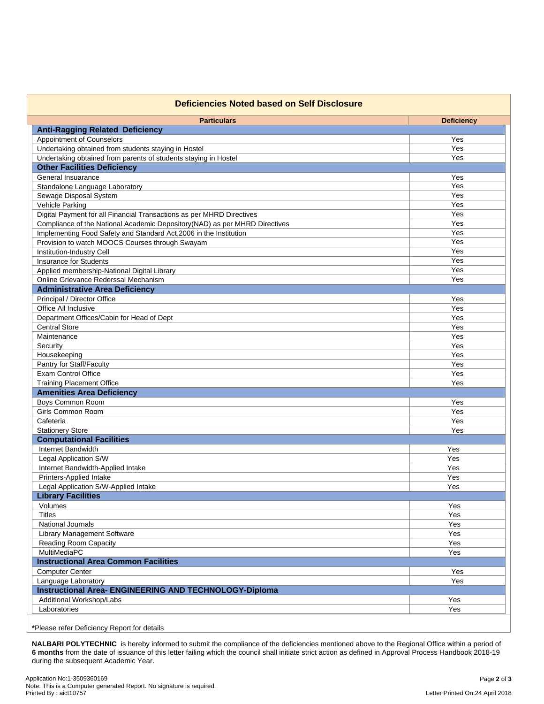| <b>Deficiencies Noted based on Self Disclosure</b>                         |                   |
|----------------------------------------------------------------------------|-------------------|
| <b>Particulars</b>                                                         | <b>Deficiency</b> |
| <b>Anti-Ragging Related Deficiency</b>                                     |                   |
| Appointment of Counselors                                                  | Yes               |
| Undertaking obtained from students staying in Hostel                       | Yes               |
| Undertaking obtained from parents of students staying in Hostel            | Yes               |
| <b>Other Facilities Deficiency</b>                                         |                   |
| General Insuarance                                                         | Yes               |
| Standalone Language Laboratory                                             | Yes               |
| Sewage Disposal System                                                     | Yes               |
| <b>Vehicle Parking</b>                                                     | Yes               |
| Digital Payment for all Financial Transactions as per MHRD Directives      | Yes               |
| Compliance of the National Academic Depository(NAD) as per MHRD Directives | Yes               |
| Implementing Food Safety and Standard Act, 2006 in the Institution         | Yes               |
| Provision to watch MOOCS Courses through Swayam                            | Yes               |
| Institution-Industry Cell                                                  | Yes               |
| <b>Insurance for Students</b>                                              | Yes               |
| Applied membership-National Digital Library                                | Yes               |
| Online Grievance Rederssal Mechanism                                       | Yes               |
| <b>Administrative Area Deficiency</b>                                      |                   |
| Principal / Director Office                                                | Yes               |
| Office All Inclusive                                                       | Yes               |
| Department Offices/Cabin for Head of Dept                                  | Yes               |
| <b>Central Store</b>                                                       | Yes               |
| Maintenance                                                                | Yes               |
| Security                                                                   | Yes               |
| Housekeeping                                                               | Yes               |
| Pantry for Staff/Faculty                                                   | Yes               |
| Exam Control Office                                                        | Yes               |
| <b>Training Placement Office</b>                                           | Yes               |
| <b>Amenities Area Deficiency</b>                                           |                   |
| Boys Common Room                                                           | Yes               |
| <b>Girls Common Room</b>                                                   | Yes               |
| Cafeteria                                                                  | Yes               |
| <b>Stationery Store</b>                                                    | Yes               |
| <b>Computational Facilities</b>                                            |                   |
| Internet Bandwidth                                                         | Yes               |
| Legal Application S/W                                                      | Yes               |
| Internet Bandwidth-Applied Intake                                          | Yes               |
| Printers-Applied Intake                                                    | Yes               |
| Legal Application S/W-Applied Intake                                       | Yes               |
| <b>Library Facilities</b>                                                  |                   |
| Volumes                                                                    | Yes               |
| <b>Titles</b>                                                              | Yes               |
| National Journals                                                          | Yes               |
| Library Management Software                                                | Yes               |
| Reading Room Capacity                                                      | Yes               |
| MultiMediaPC                                                               | Yes               |
| <b>Instructional Area Common Facilities</b>                                |                   |
| <b>Computer Center</b>                                                     | Yes               |
| Language Laboratory                                                        | Yes               |
| <b>Instructional Area- ENGINEERING AND TECHNOLOGY-Diploma</b>              |                   |
| Additional Workshop/Labs                                                   | Yes               |
| Laboratories                                                               | Yes               |

**NALBARI POLYTECHNIC** is hereby informed to submit the compliance of the deficiencies mentioned above to the Regional Office within a period of **6 months** from the date of issuance of this letter failing which the council shall initiate strict action as defined in Approval Process Handbook 2018-19 during the subsequent Academic Year.